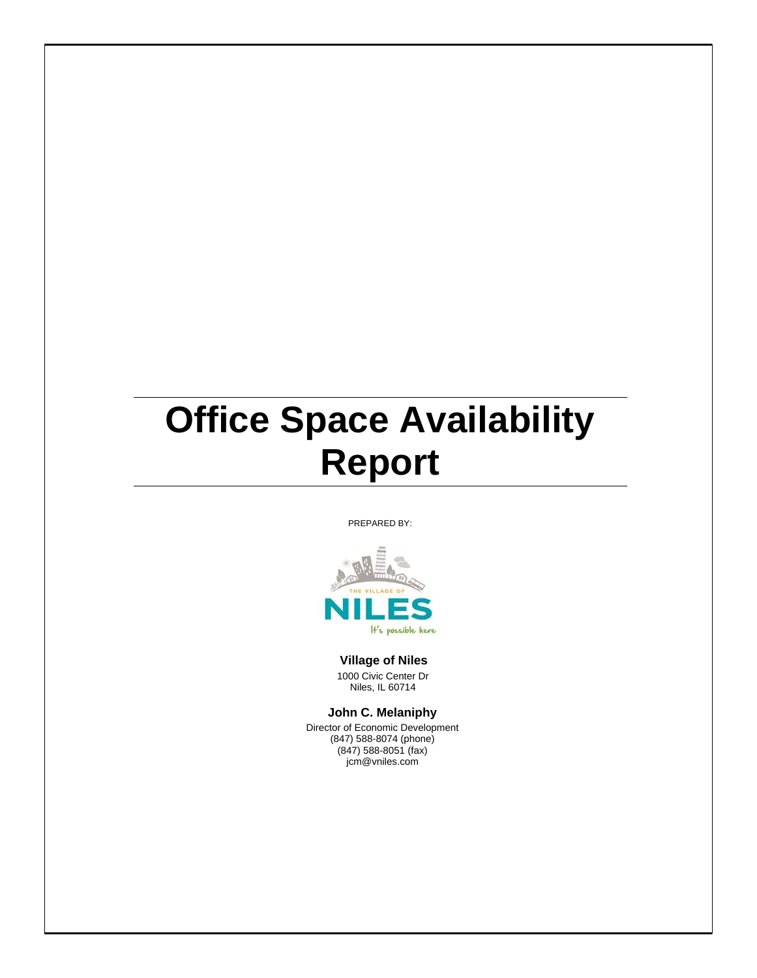## **Office Space Availability Report**

PREPARED BY:



## **Village of Niles**

1000 Civic Center Dr Niles, IL 60714

**John C. Melaniphy**

Director of Economic Development (847) 588-8074 (phone) (847) 588-8051 (fax) jcm@vniles.com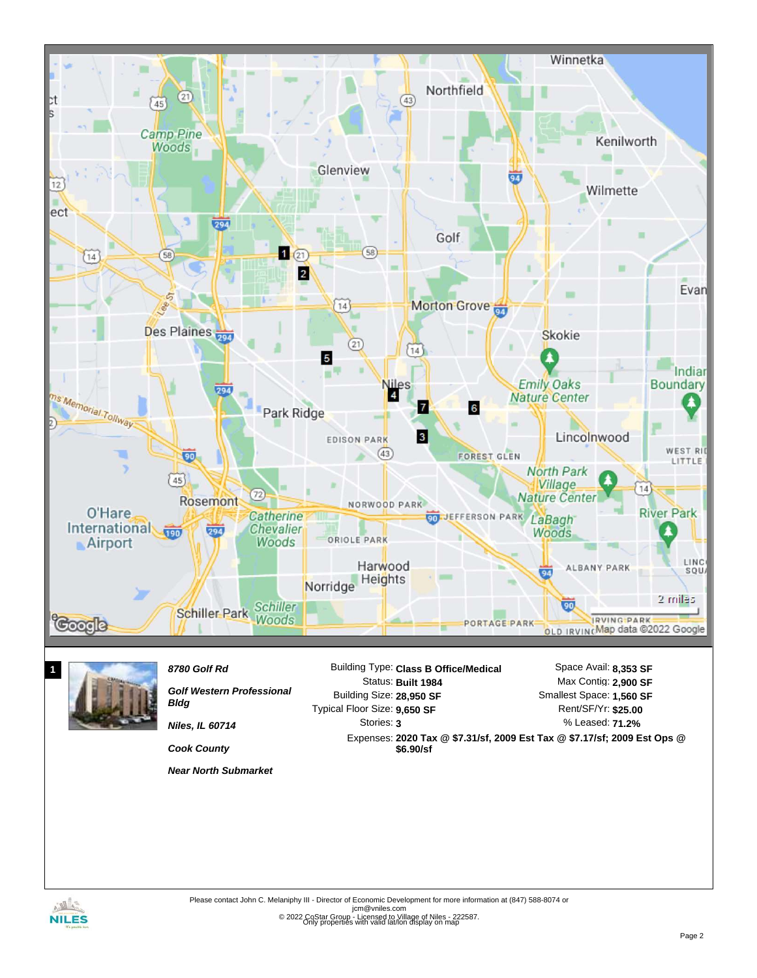



*Golf Western Professional Bldg Niles, IL 60714*

Building Size: **28,950 SF 9,650 SF** Typical Floor Size: Stories: **3**

% Leased: **71.2%** Rent/SF/Yr: **\$25.00** Smallest Space: **1,560 SF**

Expenses: **2020 Tax @ \$7.31/sf, 2009 Est Tax @ \$7.17/sf; 2009 Est Ops @ \$6.90/sf**

*Near North Submarket*

*Cook County*

ingles. **NILES** 

Only properties with valid lat/lon display on map Please contact John C. Melaniphy III - Director of Economic Development for more information at (847) 588-8074 or jcm@vniles.com<br>© 2022 CoStar Group - Licensed to Village of Niles - 222587.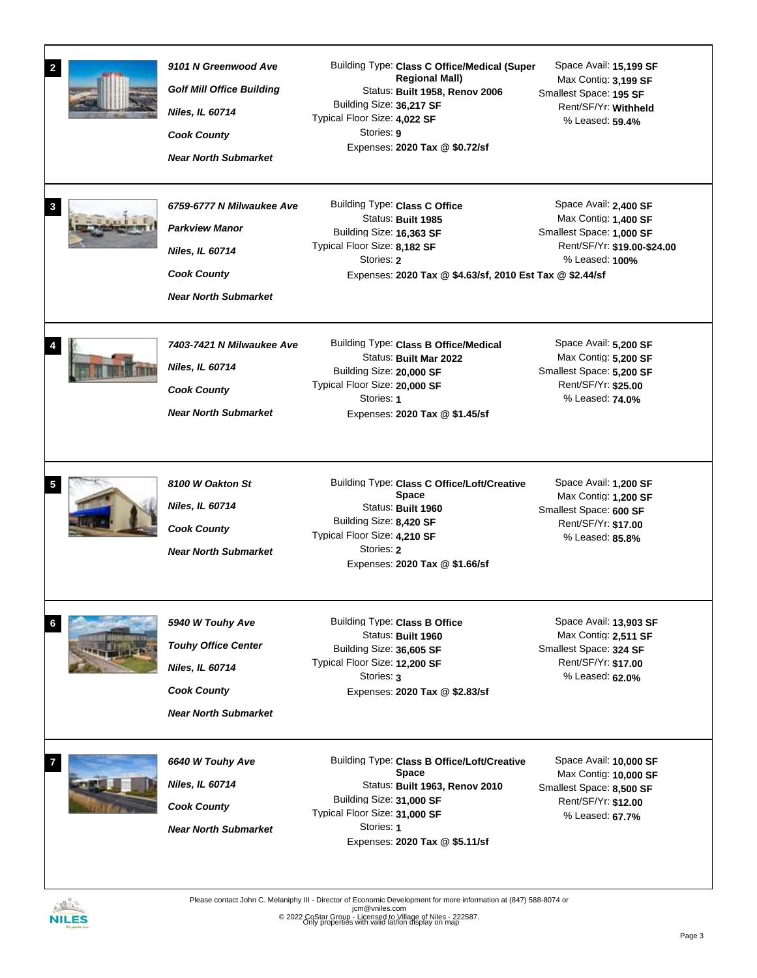| $\mathbf{2}$<br>3 | 9101 N Greenwood Ave<br><b>Golf Mill Office Building</b><br>Niles, IL 60714<br><b>Cook County</b><br><b>Near North Submarket</b><br>6759-6777 N Milwaukee Ave<br><b>Parkview Manor</b> | Building Type: Class C Office/Medical (Super<br><b>Regional Mall)</b><br>Status: Built 1958, Renov 2006<br>Building Size: 36,217 SF<br>Typical Floor Size: 4,022 SF<br>Stories: 9<br>Expenses: 2020 Tax @ \$0.72/sf<br>Building Type: Class C Office<br>Status: Built 1985 | Space Avail: 15,199 SF<br>Max Contig: 3,199 SF<br>Smallest Space: 195 SF<br>Rent/SF/Yr: Withheld<br>% Leased: 59.4%<br>Space Avail: 2,400 SF<br>Max Contig: 1,400 SF |
|-------------------|----------------------------------------------------------------------------------------------------------------------------------------------------------------------------------------|----------------------------------------------------------------------------------------------------------------------------------------------------------------------------------------------------------------------------------------------------------------------------|----------------------------------------------------------------------------------------------------------------------------------------------------------------------|
|                   | Niles, IL 60714<br><b>Cook County</b><br><b>Near North Submarket</b>                                                                                                                   | Building Size: 16,363 SF<br>Typical Floor Size: 8,182 SF<br>Stories: 2<br>Expenses: 2020 Tax @ \$4.63/sf, 2010 Est Tax @ \$2.44/sf                                                                                                                                         | Smallest Space: 1,000 SF<br>Rent/SF/Yr: \$19.00-\$24.00<br>% Leased: 100%                                                                                            |
|                   | 7403-7421 N Milwaukee Ave<br>Niles, IL 60714<br><b>Cook County</b><br><b>Near North Submarket</b>                                                                                      | Building Type: Class B Office/Medical<br>Status: Built Mar 2022<br>Building Size: 20,000 SF<br>Typical Floor Size: 20,000 SF<br>Stories: 1<br>Expenses: 2020 Tax @ \$1.45/sf                                                                                               | Space Avail: 5,200 SF<br>Max Contig: 5,200 SF<br>Smallest Space: 5,200 SF<br>Rent/SF/Yr: \$25.00<br>% Leased: 74.0%                                                  |
|                   | 8100 W Oakton St<br>Niles, IL 60714<br><b>Cook County</b><br><b>Near North Submarket</b>                                                                                               | Building Type: Class C Office/Loft/Creative<br><b>Space</b><br>Status: Built 1960<br>Building Size: 8,420 SF<br>Typical Floor Size: 4,210 SF<br>Stories: 2<br>Expenses: 2020 Tax @ \$1.66/sf                                                                               | Space Avail: 1,200 SF<br>Max Contig: 1,200 SF<br>Smallest Space: 600 SF<br>Rent/SF/Yr: \$17.00<br>% Leased: 85.8%                                                    |
| 6                 | 5940 W Touhy Ave<br><b>Touhy Office Center</b><br>Niles, IL 60714<br><b>Cook County</b><br><b>Near North Submarket</b>                                                                 | Building Type: Class B Office<br>Status: Built 1960<br>Building Size: 36,605 SF<br>Typical Floor Size: 12,200 SF<br>Stories: 3<br>Expenses: 2020 Tax @ \$2.83/sf                                                                                                           | Space Avail: 13,903 SF<br>Max Contig: 2,511 SF<br>Smallest Space: 324 SF<br>Rent/SF/Yr: \$17.00<br>% Leased: 62.0%                                                   |
|                   | 6640 W Touhy Ave<br>Niles, IL 60714<br><b>Cook County</b><br><b>Near North Submarket</b>                                                                                               | Building Type: Class B Office/Loft/Creative<br><b>Space</b><br>Status: Built 1963, Renov 2010<br>Building Size: 31,000 SF<br>Typical Floor Size: 31,000 SF<br>Stories: 1<br>Expenses: 2020 Tax @ \$5.11/sf                                                                 | Space Avail: 10,000 SF<br>Max Contig: 10,000 SF<br>Smallest Space: 8,500 SF<br>Rent/SF/Yr: \$12.00<br>% Leased: 67.7%                                                |

NILES

Please contact John C. Melaniphy III - Director of Economic Development for more information at (847) 588-8074 or<br>jcm@vniles.com<br>© 2022 CoStar Group - Licensed to Village of Niles - 222587.

Only properties with valid lat/lon display on map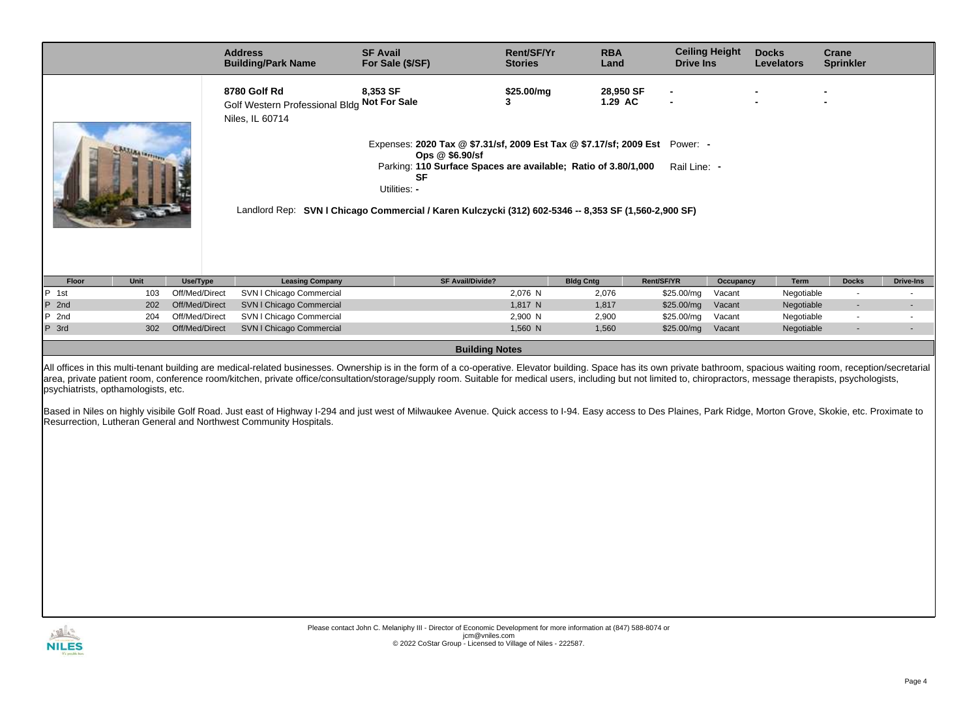|         |                    |                | <b>Address</b><br><b>Building/Park Name</b>                                    | <b>SF Avail</b><br>For Sale (\$/SF)                                                                                                                                                                                                                                                                          | Rent/SF/Yr<br><b>Stories</b> | <b>RBA</b><br>Land   | <b>Ceiling Height</b><br><b>Drive Ins</b> |           | <b>Docks</b><br><b>Levelators</b> | Crane<br><b>Sprinkler</b> |                  |
|---------|--------------------|----------------|--------------------------------------------------------------------------------|--------------------------------------------------------------------------------------------------------------------------------------------------------------------------------------------------------------------------------------------------------------------------------------------------------------|------------------------------|----------------------|-------------------------------------------|-----------|-----------------------------------|---------------------------|------------------|
|         | <b>CAA linetty</b> |                | 8780 Golf Rd<br>Golf Western Professional Bldg Not For Sale<br>Niles, IL 60714 | 8,353 SF<br>Expenses: 2020 Tax @ \$7.31/sf, 2009 Est Tax @ \$7.17/sf; 2009 Est Power: -<br>Ops $@$ \$6.90/sf<br>Parking: 110 Surface Spaces are available; Ratio of 3.80/1,000<br>SF<br>Utilities: -<br>Landlord Rep: SVN I Chicago Commercial / Karen Kulczycki (312) 602-5346 -- 8,353 SF (1,560-2,900 SF) | \$25.00/mg                   | 28,950 SF<br>1.29 AC | Rail Line: -                              |           |                                   |                           |                  |
| Floor   | Unit               | Use/Type       | <b>Leasing Company</b>                                                         | <b>SF Avail/Divide?</b>                                                                                                                                                                                                                                                                                      |                              | <b>Bldg Cntg</b>     | Rent/SF/YR                                | Occupancy | Term                              | <b>Docks</b>              | <b>Drive-Ins</b> |
| $P$ 1st | 103                | Off/Med/Direct | SVN I Chicago Commercial                                                       |                                                                                                                                                                                                                                                                                                              | 2,076 N                      | 2,076                | \$25.00/mg                                | Vacant    | Negotiable                        |                           |                  |
| $P$ 2nd | 202                | Off/Med/Direct | SVN I Chicago Commercial                                                       |                                                                                                                                                                                                                                                                                                              | 1,817 N                      | 1,817                | \$25.00/mg                                | Vacant    | Negotiable                        | $\overline{\phantom{a}}$  |                  |
| $P$ 2nd | 204                | Off/Med/Direct | SVN I Chicago Commercial                                                       |                                                                                                                                                                                                                                                                                                              | 2,900 N                      | 2,900                | \$25.00/mg                                | Vacant    | Negotiable                        | $\sim$                    |                  |
| P 3rd   | 302                | Off/Med/Direct | SVN I Chicago Commercial                                                       |                                                                                                                                                                                                                                                                                                              | 1,560 N                      | 1,560                | \$25.00/mg                                | Vacant    | Negotiable                        |                           |                  |

**Building Notes**

All offices in this multi-tenant building are medical-related businesses. Ownership is in the form of a co-operative. Elevator building. Space has its own private bathroom, spacious waiting room, reception/secretarial area, private patient room, conference room/kitchen, private office/consultation/storage/supply room. Suitable for medical users, including but not limited to, chiropractors, message therapists, psychologists, psychiatrists, opthamologists, etc.

Based in Niles on highly visibile Golf Road. Just east of Highway I-294 and just west of Milwaukee Avenue. Quick access to I-94. Easy access to Des Plaines, Park Ridge, Morton Grove, Skokie, etc. Proximate to Resurrection, Lutheran General and Northwest Community Hospitals.

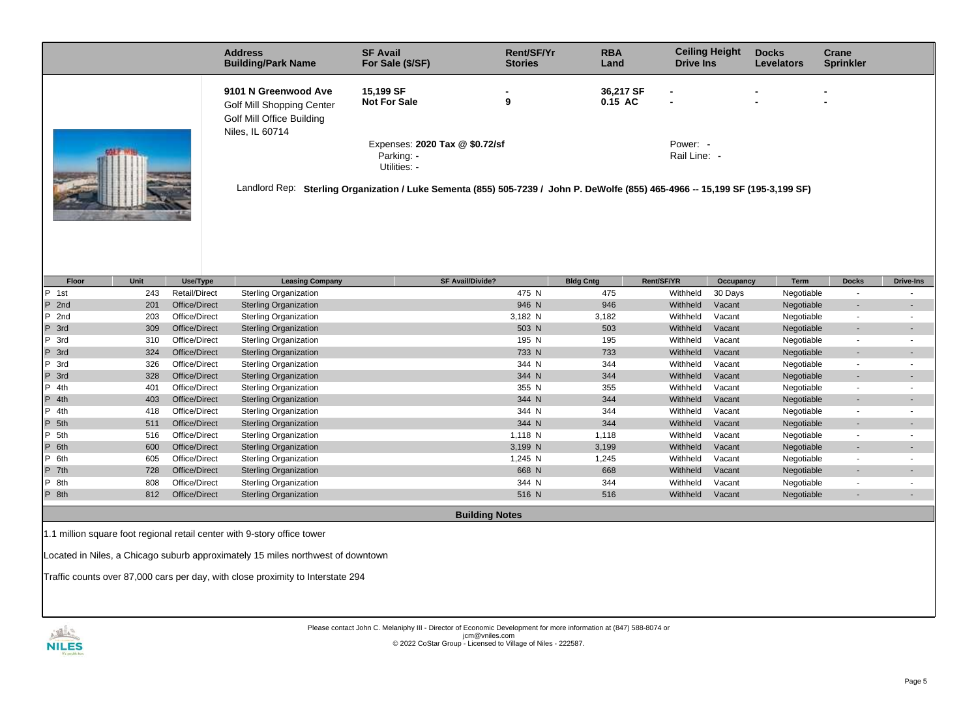| <b>Address</b>                                                                                           | <b>SF Avail</b>                                                                                                                                                                                                                    | Rent/SF/Yr     | <b>RBA</b>           | <b>Ceiling Height</b>                                                            | <b>Docks</b>      | Crane            |
|----------------------------------------------------------------------------------------------------------|------------------------------------------------------------------------------------------------------------------------------------------------------------------------------------------------------------------------------------|----------------|----------------------|----------------------------------------------------------------------------------|-------------------|------------------|
| <b>Building/Park Name</b>                                                                                | For Sale (\$/SF)                                                                                                                                                                                                                   | <b>Stories</b> | Land                 | <b>Drive Ins</b>                                                                 | <b>Levelators</b> | <b>Sprinkler</b> |
| 9101 N Greenwood Ave<br><b>Golf Mill Shopping Center</b><br>Golf Mill Office Building<br>Niles, IL 60714 | 15,199 SF<br><b>Not For Sale</b><br>Expenses: 2020 Tax @ \$0.72/sf<br>Parking: -<br>Utilities: -<br>Landlord Rep: Sterling Organization / Luke Sementa (855) 505-7239 / John P. DeWolfe (855) 465-4966 -- 15,199 SF (195-3,199 SF) | 9              | 36,217 SF<br>0.15 AC | $\overline{\phantom{0}}$<br>$\overline{\phantom{0}}$<br>Power: -<br>Rail Line: - |                   |                  |

| Floor             | Unit | Use/Type             | <b>Leasing Company</b>       | <b>SF Avail/Divide?</b> | <b>Bldg Cntg</b> | Rent/SF/YR | Occupancy | Term       | <b>Docks</b>             | <b>Drive-Ins</b> |
|-------------------|------|----------------------|------------------------------|-------------------------|------------------|------------|-----------|------------|--------------------------|------------------|
| P<br>1st          | 243  | <b>Retail/Direct</b> | <b>Sterling Organization</b> | 475 N                   | 475              | Withheld   | 30 Days   | Negotiable | $\overline{\phantom{0}}$ |                  |
| P 2nd             | 201  | Office/Direct        | <b>Sterling Organization</b> | 946 N                   | 946              | Withheld   | Vacant    | Negotiable | $\overline{\phantom{a}}$ |                  |
| P<br>2nd          | 203  | Office/Direct        | <b>Sterling Organization</b> | 3,182 N                 | 3,182            | Withheld   | Vacant    | Negotiable | ٠                        |                  |
| P 3rd             | 309  | Office/Direct        | <b>Sterling Organization</b> | 503 N                   | 503              | Withheld   | Vacant    | Negotiable | $\overline{\phantom{a}}$ |                  |
| $ P \text{ } 3rd$ | 310  | Office/Direct        | Sterling Organization        | 195 N                   | 195              | Withheld   | Vacant    | Negotiable | $\sim$                   |                  |
| P 3rd             | 324  | Office/Direct        | <b>Sterling Organization</b> | 733 N                   | 733              | Withheld   | Vacant    | Negotiable | $\overline{\phantom{a}}$ |                  |
| $P$ 3rd           | 326  | Office/Direct        | <b>Sterling Organization</b> | 344 N                   | 344              | Withheld   | Vacant    | Negotiable | ٠                        |                  |
| P 3rd             | 328  | Office/Direct        | <b>Sterling Organization</b> | 344 N                   | 344              | Withheld   | Vacant    | Negotiable | $\overline{\phantom{a}}$ | $\overline{a}$   |
| $P$ 4th           | 401  | Office/Direct        | <b>Sterling Organization</b> | 355 N                   | 355              | Withheld   | Vacant    | Negotiable | ٠                        |                  |
| P 4th             | 403  | Office/Direct        | <b>Sterling Organization</b> | 344 N                   | 344              | Withheld   | Vacant    | Negotiable | ٠                        |                  |
| $P$ 4th           | 418  | Office/Direct        | Sterling Organization        | 344 N                   | 344              | Withheld   | Vacant    | Negotiable | $\sim$                   |                  |
| P 5th             | 511  | Office/Direct        | <b>Sterling Organization</b> | 344 N                   | 344              | Withheld   | Vacant    | Negotiable | $\overline{\phantom{a}}$ |                  |
| $P$ 5th           | 516  | Office/Direct        | <b>Sterling Organization</b> | 1,118 N                 | 1,118            | Withheld   | Vacant    | Negotiable | $\sim$                   |                  |
| P 6th             | 600  | Office/Direct        | <b>Sterling Organization</b> | 3,199 N                 | 3,199            | Withheld   | Vacant    | Negotiable | ٠                        |                  |
| P 6th             | 605  | Office/Direct        | <b>Sterling Organization</b> | 1,245 N                 | 1,245            | Withheld   | Vacant    | Negotiable | ٠                        |                  |
| P 7th             | 728  | Office/Direct        | <b>Sterling Organization</b> | 668 N                   | 668              | Withheld   | Vacant    | Negotiable | $\overline{\phantom{a}}$ |                  |
| P 8th             | 808  | Office/Direct        | <b>Sterling Organization</b> | 344 N                   | 344              | Withheld   | Vacant    | Negotiable | ٠                        |                  |
| P 8th             | 812  | Office/Direct        | <b>Sterling Organization</b> | 516 N                   | 516              | Withheld   | Vacant    | Negotiable |                          |                  |
|                   |      |                      |                              |                         |                  |            |           |            |                          |                  |

**Building Notes**

1.1 million square foot regional retail center with 9-story office tower

Located in Niles, a Chicago suburb approximately 15 miles northwest of downtown

Traffic counts over 87,000 cars per day, with close proximity to Interstate 294



Please contact John C. Melaniphy III - Director of Economic Development for more information at (847) 588-8074 or<br>jcm@vniles.com<br>© 2022 CoStar Group - Licensed to Village of Niles - 222587.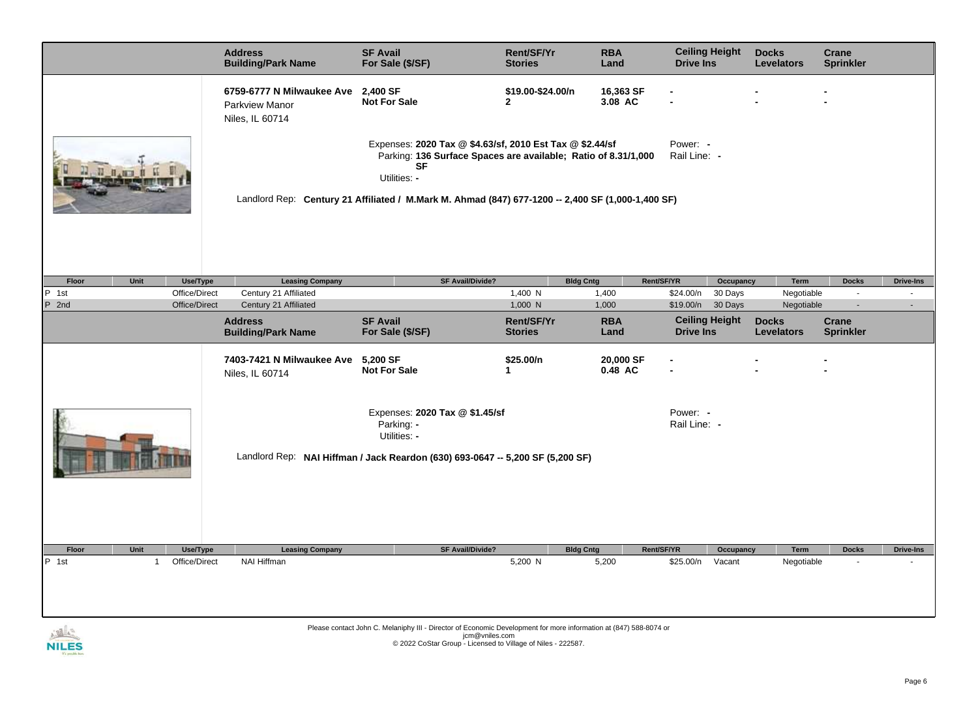|                                                                                                                                                                            |                           | <b>Address</b><br><b>Building/Park Name</b>                           | <b>SF Avail</b><br>For Sale (\$/SF)                                                                                                                                                                                                                          | <b>Rent/SF/Yr</b><br><b>Stories</b> | <b>RBA</b><br>Land        | <b>Drive Ins</b>         | <b>Ceiling Height</b> | <b>Docks</b><br><b>Levelators</b> | Crane<br><b>Sprinkler</b> |                  |
|----------------------------------------------------------------------------------------------------------------------------------------------------------------------------|---------------------------|-----------------------------------------------------------------------|--------------------------------------------------------------------------------------------------------------------------------------------------------------------------------------------------------------------------------------------------------------|-------------------------------------|---------------------------|--------------------------|-----------------------|-----------------------------------|---------------------------|------------------|
|                                                                                                                                                                            |                           | 6759-6777 N Milwaukee Ave<br><b>Parkview Manor</b><br>Niles, IL 60714 | 2,400 SF<br><b>Not For Sale</b>                                                                                                                                                                                                                              | \$19.00-\$24.00/n<br>$\mathbf{2}$   | 16,363 SF<br>3.08 AC      |                          |                       |                                   |                           |                  |
|                                                                                                                                                                            |                           |                                                                       | Expenses: 2020 Tax @ \$4.63/sf, 2010 Est Tax @ \$2.44/sf<br>Parking: 136 Surface Spaces are available; Ratio of 8.31/1,000<br><b>SF</b><br>Utilities: -<br>Landlord Rep: Century 21 Affiliated / M.Mark M. Ahmad (847) 677-1200 -- 2,400 SF (1,000-1,400 SF) |                                     |                           | Power: -<br>Rail Line: - |                       |                                   |                           |                  |
| Floor<br>Unit                                                                                                                                                              | Use/Type                  | <b>Leasing Company</b>                                                | SF Avail/Divide?                                                                                                                                                                                                                                             |                                     | <b>Bldg Cntg</b>          | Rent/SF/YR               | Occupancy             | <b>Term</b>                       | <b>Docks</b>              | <b>Drive-Ins</b> |
| $\boxed{P}$ 1st                                                                                                                                                            | Office/Direct             | Century 21 Affiliated                                                 |                                                                                                                                                                                                                                                              | 1,400 N                             | 1,400                     | \$24.00/n                | 30 Days               | Negotiable                        | $\sim$                    |                  |
| P 2nd                                                                                                                                                                      | Office/Direct             | Century 21 Affiliated                                                 |                                                                                                                                                                                                                                                              | 1,000 N                             | 1,000                     |                          | \$19.00/n 30 Days     | Negotiable                        | $\sim$                    |                  |
|                                                                                                                                                                            |                           | <b>Address</b><br><b>Building/Park Name</b>                           | <b>SF Avail</b><br>For Sale (\$/SF)                                                                                                                                                                                                                          | <b>Rent/SF/Yr</b><br><b>Stories</b> | <b>RBA</b><br>Land        | <b>Drive Ins</b>         | <b>Ceiling Height</b> | <b>Docks</b><br><b>Levelators</b> | Crane<br><b>Sprinkler</b> |                  |
|                                                                                                                                                                            |                           | 7403-7421 N Milwaukee Ave<br>Niles, IL 60714                          | 5,200 SF<br><b>Not For Sale</b>                                                                                                                                                                                                                              | \$25.00/n<br>1                      | 20,000 SF<br>0.48 AC      |                          |                       |                                   |                           |                  |
| Expenses: 2020 Tax @ \$1.45/sf<br>Power: -<br>Parking: -<br>Rail Line: -<br>Utilities: -<br>Landlord Rep: NAI Hiffman / Jack Reardon (630) 693-0647 -- 5,200 SF (5,200 SF) |                           |                                                                       |                                                                                                                                                                                                                                                              |                                     |                           |                          |                       |                                   |                           |                  |
| Floor<br>Unit<br>P<br>1st<br>1                                                                                                                                             | Use/Type<br>Office/Direct | <b>Leasing Company</b><br>NAI Hiffman                                 | <b>SF Avail/Divide?</b>                                                                                                                                                                                                                                      | 5,200 N                             | <b>Bldg Cntg</b><br>5,200 | Rent/SF/YR<br>\$25.00/n  | Occupancy<br>Vacant   | Term<br>Negotiable                | <b>Docks</b>              | <b>Drive-Ins</b> |
| $100 - 4$                                                                                                                                                                  |                           |                                                                       | Please contact John C. Melaniphy III - Director of Economic Development for more information at (847) 588-8074 or<br>$\mathsf{icm}\otimes\mathsf{unilac}\; \mathsf{com}$                                                                                     |                                     |                           |                          |                       |                                   |                           |                  |



jcm@vniles.com<br>© 2022 CoStar Group - Licensed to Village of Niles - 222587.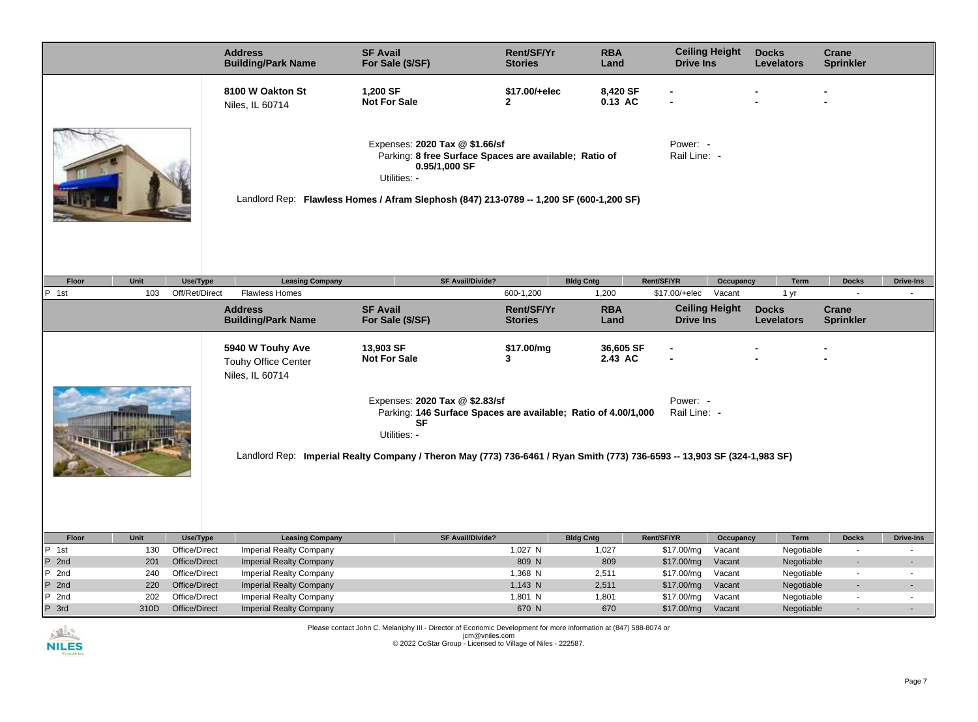|                                                                                                                                                                                                                                                                                        |      |                | <b>Address</b><br><b>Building/Park Name</b>                                             | <b>SF Avail</b><br>For Sale (\$/SF)                             | <b>Rent/SF/Yr</b><br><b>Stories</b>                    | <b>RBA</b><br>Land   | <b>Ceiling Height</b><br><b>Drive Ins</b> |           | <b>Docks</b><br><b>Levelators</b> | Crane<br><b>Sprinkler</b> |                          |
|----------------------------------------------------------------------------------------------------------------------------------------------------------------------------------------------------------------------------------------------------------------------------------------|------|----------------|-----------------------------------------------------------------------------------------|-----------------------------------------------------------------|--------------------------------------------------------|----------------------|-------------------------------------------|-----------|-----------------------------------|---------------------------|--------------------------|
|                                                                                                                                                                                                                                                                                        |      |                | 8100 W Oakton St<br>Niles, IL 60714                                                     | 1,200 SF<br><b>Not For Sale</b>                                 | \$17.00/+elec<br>$\overline{2}$                        | 8,420 SF<br>0.13 AC  |                                           |           |                                   |                           |                          |
|                                                                                                                                                                                                                                                                                        |      |                | Landlord Rep: Flawless Homes / Afram Slephosh (847) 213-0789 -- 1,200 SF (600-1,200 SF) | Expenses: 2020 Tax @ \$1.66/sf<br>0.95/1,000 SF<br>Utilities: - | Parking: 8 free Surface Spaces are available; Ratio of |                      | Power: -<br>Rail Line: -                  |           |                                   |                           |                          |
| Floor                                                                                                                                                                                                                                                                                  | Unit | Use/Type       | <b>Leasing Company</b>                                                                  |                                                                 | <b>SF Avail/Divide?</b>                                | <b>Bldg Cntg</b>     | Rent/SF/YR                                | Occupancy | Term                              | <b>Docks</b>              | <b>Drive-Ins</b>         |
| P 1st                                                                                                                                                                                                                                                                                  | 103  | Off/Ret/Direct | <b>Flawless Homes</b>                                                                   |                                                                 | 600-1,200                                              | 1,200                | \$17.00/+elec                             | Vacant    | 1 yr                              | $\blacksquare$            |                          |
|                                                                                                                                                                                                                                                                                        |      |                | <b>Address</b><br><b>Building/Park Name</b>                                             | <b>SF Avail</b><br>For Sale (\$/SF)                             | <b>Rent/SF/Yr</b><br><b>Stories</b>                    | <b>RBA</b><br>Land   | <b>Ceiling Height</b><br><b>Drive Ins</b> |           | <b>Docks</b><br><b>Levelators</b> | Crane<br><b>Sprinkler</b> |                          |
|                                                                                                                                                                                                                                                                                        |      |                | 5940 W Touhy Ave<br>Touhy Office Center<br>Niles, IL 60714                              | 13,903 SF<br><b>Not For Sale</b>                                | \$17.00/mg<br>3                                        | 36,605 SF<br>2.43 AC |                                           |           |                                   |                           |                          |
| Expenses: 2020 Tax @ \$2.83/sf<br>Power: -<br>Parking: 146 Surface Spaces are available; Ratio of 4.00/1,000<br>Rail Line: -<br><b>SF</b><br>Utilities: -<br>Landlord Rep: Imperial Realty Company / Theron May (773) 736-6461 / Ryan Smith (773) 736-6593 -- 13,903 SF (324-1,983 SF) |      |                |                                                                                         |                                                                 |                                                        |                      |                                           |           |                                   |                           |                          |
| Floor                                                                                                                                                                                                                                                                                  | Unit | Use/Type       | <b>Leasing Company</b>                                                                  |                                                                 | <b>SF Avail/Divide?</b>                                | <b>Bldg Cntg</b>     | Rent/SF/YR                                | Occupancy | Term                              | <b>Docks</b>              | <b>Drive-Ins</b>         |
| P 1st                                                                                                                                                                                                                                                                                  | 130  | Office/Direct  | <b>Imperial Realty Company</b>                                                          |                                                                 | 1,027 N                                                | 1,027                | \$17.00/mg                                | Vacant    | Negotiable                        | $\overline{\phantom{a}}$  | $\overline{a}$           |
| P 2nd                                                                                                                                                                                                                                                                                  | 201  | Office/Direct  | <b>Imperial Realty Company</b>                                                          |                                                                 | 809 N                                                  | 809                  | \$17.00/mg                                | Vacant    | Negotiable                        | ÷,                        |                          |
| P 2nd                                                                                                                                                                                                                                                                                  | 240  | Office/Direct  | Imperial Realty Company                                                                 |                                                                 | 1,368 N                                                | 2,511                | \$17.00/mg                                | Vacant    | Negotiable                        | $\overline{\phantom{a}}$  |                          |
| P 2nd                                                                                                                                                                                                                                                                                  | 220  | Office/Direct  | <b>Imperial Realty Company</b>                                                          |                                                                 | 1,143 N                                                | 2,511                | \$17.00/mg                                | Vacant    | Negotiable                        |                           |                          |
| P 2nd                                                                                                                                                                                                                                                                                  | 202  | Office/Direct  | Imperial Realty Company                                                                 |                                                                 | 1,801 N                                                | 1,801                | \$17.00/mg                                | Vacant    | Negotiable                        | $\blacksquare$            |                          |
| $P$ 3rd                                                                                                                                                                                                                                                                                | 310D | Office/Direct  | <b>Imperial Realty Company</b>                                                          |                                                                 | 670 N                                                  | 670                  | \$17.00/mg                                | Vacant    | Negotiable                        | $\overline{\phantom{a}}$  | $\overline{\phantom{a}}$ |



Please contact John C. Melaniphy III - Director of Economic Development for more information at (847) 588-8074 or<br>jcm@vniles.com<br>© 2022 CoStar Group - Licensed to Village of Niles - 222587.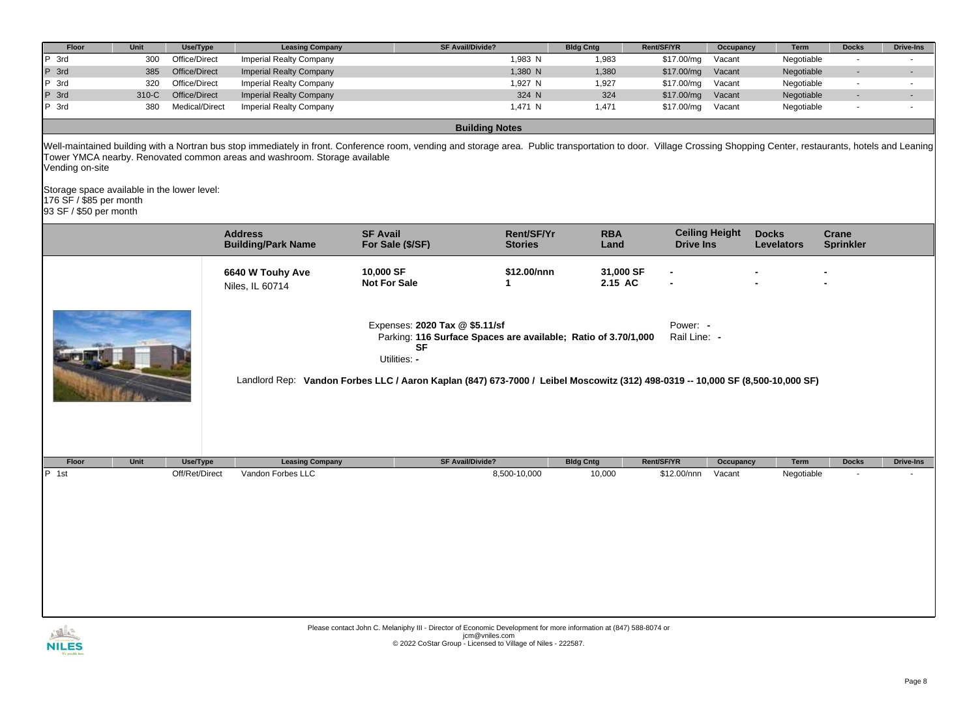| Floor                                                                                            | Unit  | Use/Type       | <b>Leasing Company</b>                                                    | <b>SF Avail/Divide?</b>                                                                                                                                                                                                                                         |                              | <b>Bldg Cntg</b>     | Rent/SF/YR               | Occupancy             | Term                              | <b>Docks</b>              | <b>Drive-Ins</b>         |
|--------------------------------------------------------------------------------------------------|-------|----------------|---------------------------------------------------------------------------|-----------------------------------------------------------------------------------------------------------------------------------------------------------------------------------------------------------------------------------------------------------------|------------------------------|----------------------|--------------------------|-----------------------|-----------------------------------|---------------------------|--------------------------|
| P 3rd                                                                                            | 300   | Office/Direct  | <b>Imperial Realty Company</b>                                            |                                                                                                                                                                                                                                                                 | 1,983 N                      | 1,983                | \$17.00/mg               | Vacant                | Negotiable                        | $\omega$                  | $\blacksquare$           |
| P 3rd                                                                                            | 385   | Office/Direct  | <b>Imperial Realty Company</b>                                            |                                                                                                                                                                                                                                                                 | 1,380 N                      | 1,380                | \$17.00/mg               | Vacant                | Negotiable                        | $\sim$                    | $\overline{\phantom{a}}$ |
| P 3rd                                                                                            | 320   | Office/Direct  | <b>Imperial Realty Company</b>                                            |                                                                                                                                                                                                                                                                 | 1,927 N                      | 1,927                | \$17.00/mg               | Vacant                | Negotiable                        | $\sim$                    | $\sim$                   |
| P 3rd                                                                                            | 310-C | Office/Direct  | <b>Imperial Realty Company</b>                                            |                                                                                                                                                                                                                                                                 | 324 N                        | 324                  | \$17.00/mg               | Vacant                | Negotiable                        | $\overline{\phantom{a}}$  | $\blacksquare$           |
| P 3rd                                                                                            | 380   | Medical/Direct | <b>Imperial Realty Company</b>                                            |                                                                                                                                                                                                                                                                 | 1,471 N                      | 1,471                | \$17.00/mg               | Vacant                | Negotiable                        | $\overline{\phantom{a}}$  | $\blacksquare$           |
|                                                                                                  |       |                |                                                                           | <b>Building Notes</b>                                                                                                                                                                                                                                           |                              |                      |                          |                       |                                   |                           |                          |
| Vending on-site                                                                                  |       |                | Tower YMCA nearby. Renovated common areas and washroom. Storage available | Well-maintained building with a Nortran bus stop immediately in front. Conference room, vending and storage area. Public transportation to door. Village Crossing Shopping Center, restaurants, hotels and Leaning                                              |                              |                      |                          |                       |                                   |                           |                          |
| Storage space available in the lower level:<br>176 SF / \$85 per month<br>93 SF / \$50 per month |       |                |                                                                           |                                                                                                                                                                                                                                                                 |                              |                      |                          |                       |                                   |                           |                          |
|                                                                                                  |       |                | <b>Address</b><br><b>Building/Park Name</b>                               | <b>SF Avail</b><br>For Sale (\$/SF)                                                                                                                                                                                                                             | Rent/SF/Yr<br><b>Stories</b> | <b>RBA</b><br>Land   | <b>Drive Ins</b>         | <b>Ceiling Height</b> | <b>Docks</b><br><b>Levelators</b> | Crane<br><b>Sprinkler</b> |                          |
|                                                                                                  |       |                | 6640 W Touhy Ave<br>Niles, IL 60714                                       | 10,000 SF<br><b>Not For Sale</b>                                                                                                                                                                                                                                | \$12.00/nnn<br>1             | 31,000 SF<br>2.15 AC |                          |                       |                                   |                           |                          |
|                                                                                                  |       |                |                                                                           | Expenses: 2020 Tax @ \$5.11/sf<br>Parking: 116 Surface Spaces are available; Ratio of 3.70/1,000<br><b>SF</b><br>Utilities: -<br>Landlord Rep: Vandon Forbes LLC / Aaron Kaplan (847) 673-7000 / Leibel Moscowitz (312) 498-0319 -- 10,000 SF (8,500-10,000 SF) |                              |                      | Power: -<br>Rail Line: - |                       |                                   |                           |                          |
| Floor                                                                                            | Unit  | Use/Type       | <b>Leasing Company</b>                                                    | SF Avail/Divide?                                                                                                                                                                                                                                                |                              | <b>Bldg Cntg</b>     | Rent/SF/YR               | Occupancy             | Term                              | <b>Docks</b>              | <b>Drive-Ins</b>         |
| P 1st                                                                                            |       | Off/Ret/Direct | Vandon Forbes LLC                                                         |                                                                                                                                                                                                                                                                 | 8,500-10,000                 | 10,000               | \$12.00/nnn              | Vacant                | Negotiable                        | ÷,                        |                          |
|                                                                                                  |       |                |                                                                           |                                                                                                                                                                                                                                                                 |                              |                      |                          |                       |                                   |                           |                          |



Please contact John C. Melaniphy III - Director of Economic Development for more information at (847) 588-8074 or<br>jcm@vniles.com<br>© 2022 CoStar Group - Licensed to Village of Niles - 222587.